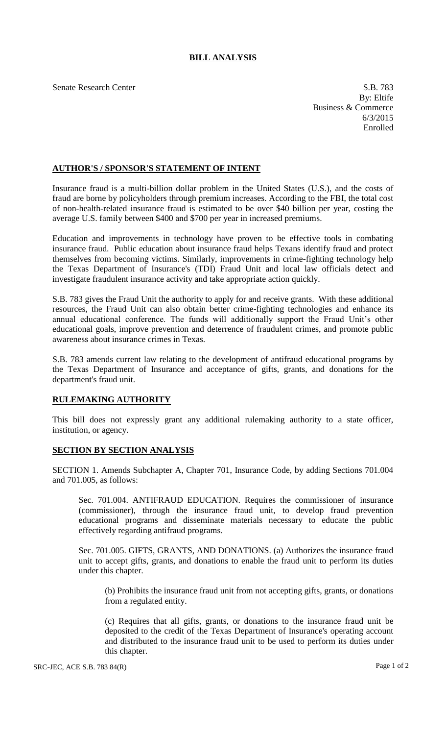## **BILL ANALYSIS**

Senate Research Center S.B. 783 By: Eltife Business & Commerce 6/3/2015 Enrolled

## **AUTHOR'S / SPONSOR'S STATEMENT OF INTENT**

Insurance fraud is a multi-billion dollar problem in the United States (U.S.), and the costs of fraud are borne by policyholders through premium increases. According to the FBI, the total cost of non-health-related insurance fraud is estimated to be over \$40 billion per year, costing the average U.S. family between \$400 and \$700 per year in increased premiums.

Education and improvements in technology have proven to be effective tools in combating insurance fraud. Public education about insurance fraud helps Texans identify fraud and protect themselves from becoming victims. Similarly, improvements in crime-fighting technology help the Texas Department of Insurance's (TDI) Fraud Unit and local law officials detect and investigate fraudulent insurance activity and take appropriate action quickly.

S.B. 783 gives the Fraud Unit the authority to apply for and receive grants. With these additional resources, the Fraud Unit can also obtain better crime-fighting technologies and enhance its annual educational conference. The funds will additionally support the Fraud Unit's other educational goals, improve prevention and deterrence of fraudulent crimes, and promote public awareness about insurance crimes in Texas.

S.B. 783 amends current law relating to the development of antifraud educational programs by the Texas Department of Insurance and acceptance of gifts, grants, and donations for the department's fraud unit.

## **RULEMAKING AUTHORITY**

This bill does not expressly grant any additional rulemaking authority to a state officer, institution, or agency.

## **SECTION BY SECTION ANALYSIS**

SECTION 1. Amends Subchapter A, Chapter 701, Insurance Code, by adding Sections 701.004 and 701.005, as follows:

Sec. 701.004. ANTIFRAUD EDUCATION. Requires the commissioner of insurance (commissioner), through the insurance fraud unit, to develop fraud prevention educational programs and disseminate materials necessary to educate the public effectively regarding antifraud programs.

Sec. 701.005. GIFTS, GRANTS, AND DONATIONS. (a) Authorizes the insurance fraud unit to accept gifts, grants, and donations to enable the fraud unit to perform its duties under this chapter.

(b) Prohibits the insurance fraud unit from not accepting gifts, grants, or donations from a regulated entity.

(c) Requires that all gifts, grants, or donations to the insurance fraud unit be deposited to the credit of the Texas Department of Insurance's operating account and distributed to the insurance fraud unit to be used to perform its duties under this chapter.